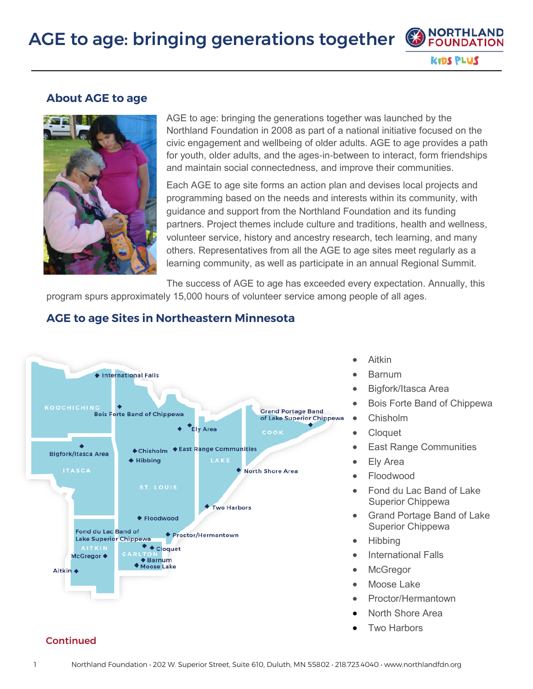## AGE to age: bringing generations together





AGE to age: bringing the generations together was launched by the Northland Foundation in 2008 as part of a national initiative focused on the civic engagement and wellbeing of older adults. AGE to age provides a path for youth, older adults, and the ages-in-between to interact, form friendships and maintain social connectedness, and improve their communities.

Each AGE to age site forms an action plan and devises local projects and programming based on the needs and interests within its community, with guidance and support from the Northland Foundation and its funding partners. Project themes include culture and traditions, health and wellness, volunteer service, history and ancestry research, tech learning, and many others. Representatives from all the AGE to age sites meet regularly as a learning community, as well as participate in an annual Regional Summit.

The success of AGE to age has exceeded every expectation. Annually, this program spurs approximately 15,000 hours of volunteer service among people of all ages.



#### **AGE to age Sites in Northeastern Minnesota**

- Aitkin
- Barnum
- Bigfork/Itasca Area
- Bois Forte Band of Chippewa

**NORTHLAND FOUNDATION** 

**KIDS PLUS** 

- Chisholm
- Cloquet
- **East Range Communities**
- **Ely Area**
- Floodwood
- Fond du Lac Band of Lake Superior Chippewa
- Grand Portage Band of Lake Superior Chippewa
- Hibbing
- International Falls
- **McGregor**
- Moose Lake
- Proctor/Hermantown
- North Shore Area
- **Two Harbors**

#### Continued